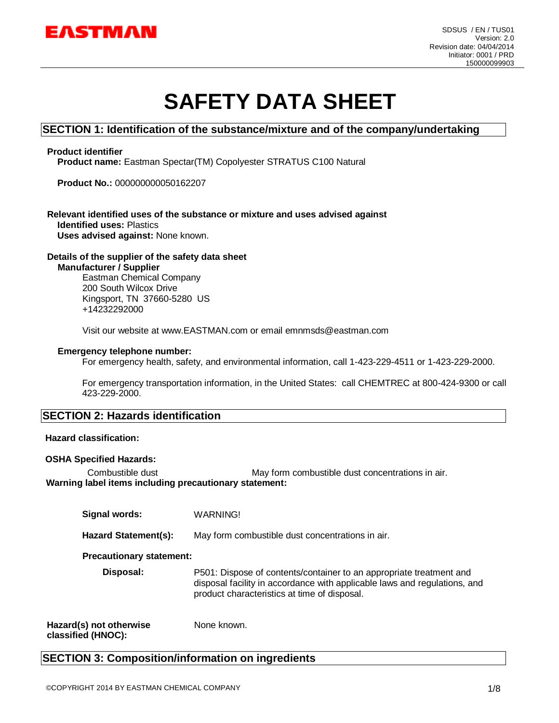

# **SAFETY DATA SHEET**

### **SECTION 1: Identification of the substance/mixture and of the company/undertaking**

#### **Product identifier**

**Product name:** Eastman Spectar(TM) Copolyester STRATUS C100 Natural

**Product No.:** 000000000050162207

## **Relevant identified uses of the substance or mixture and uses advised against Identified uses:** Plastics

**Uses advised against:** None known.

#### **Details of the supplier of the safety data sheet**

**Manufacturer / Supplier**

Eastman Chemical Company 200 South Wilcox Drive Kingsport, TN 37660-5280 US +14232292000

Visit our website at www.EASTMAN.com or email emnmsds@eastman.com

#### **Emergency telephone number:**

For emergency health, safety, and environmental information, call 1-423-229-4511 or 1-423-229-2000.

For emergency transportation information, in the United States: call CHEMTREC at 800-424-9300 or call 423-229-2000.

### **SECTION 2: Hazards identification**

#### **Hazard classification:**

#### **OSHA Specified Hazards:**

Combustible dust **May form combustible dust concentrations in air. Warning label items including precautionary statement:**

| <b>Signal words:</b>            | <b>WARNING!</b>                                                                                                                                                                                  |  |
|---------------------------------|--------------------------------------------------------------------------------------------------------------------------------------------------------------------------------------------------|--|
| <b>Hazard Statement(s):</b>     | May form combustible dust concentrations in air.                                                                                                                                                 |  |
| <b>Precautionary statement:</b> |                                                                                                                                                                                                  |  |
| Disposal:                       | P501: Dispose of contents/container to an appropriate treatment and<br>disposal facility in accordance with applicable laws and regulations, and<br>product characteristics at time of disposal. |  |
| Hazard(s) not otherwise         | None known.                                                                                                                                                                                      |  |

**classified (HNOC):**

#### None known.

### **SECTION 3: Composition/information on ingredients**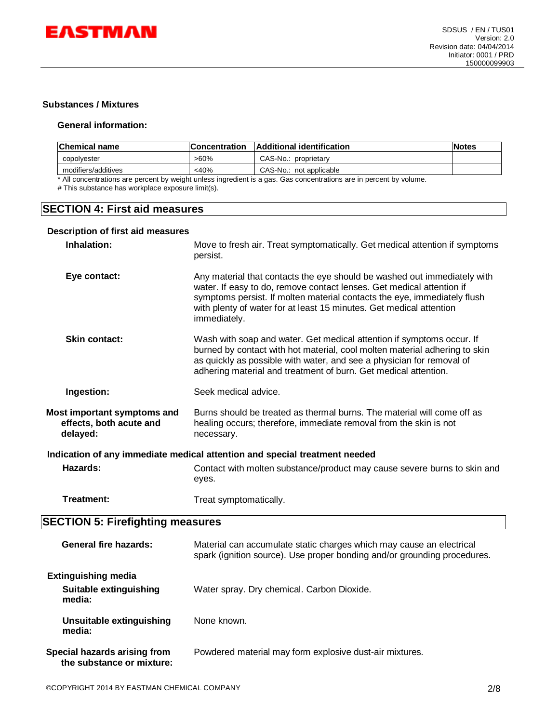

#### **Substances / Mixtures**

#### **General information:**

| <b>Concentration</b> |                         | <b>Notes</b>              |
|----------------------|-------------------------|---------------------------|
| >60%                 | CAS-No.: proprietary    |                           |
| $<$ 40%              | CAS-No.: not applicable |                           |
|                      |                         | Additional identification |

All concentrations are percent by weight unless ingredient is a gas. Gas concentrations are in percent by volume.

# This substance has workplace exposure limit(s).

### **SECTION 4: First aid measures**

#### **Description of first aid measures**

| Inhalation:                                                                | Move to fresh air. Treat symptomatically. Get medical attention if symptoms<br>persist.                                                                                                                                                                                                                              |  |
|----------------------------------------------------------------------------|----------------------------------------------------------------------------------------------------------------------------------------------------------------------------------------------------------------------------------------------------------------------------------------------------------------------|--|
| Eye contact:                                                               | Any material that contacts the eye should be washed out immediately with<br>water. If easy to do, remove contact lenses. Get medical attention if<br>symptoms persist. If molten material contacts the eye, immediately flush<br>with plenty of water for at least 15 minutes. Get medical attention<br>immediately. |  |
| <b>Skin contact:</b>                                                       | Wash with soap and water. Get medical attention if symptoms occur. If<br>burned by contact with hot material, cool molten material adhering to skin<br>as quickly as possible with water, and see a physician for removal of<br>adhering material and treatment of burn. Get medical attention.                      |  |
| Ingestion:                                                                 | Seek medical advice.                                                                                                                                                                                                                                                                                                 |  |
| Most important symptoms and<br>effects, both acute and<br>delayed:         | Burns should be treated as thermal burns. The material will come off as<br>healing occurs; therefore, immediate removal from the skin is not<br>necessary.                                                                                                                                                           |  |
| Indication of any immediate medical attention and special treatment needed |                                                                                                                                                                                                                                                                                                                      |  |
| Hazards:                                                                   | Contact with molten substance/product may cause severe burns to skin and<br>eyes.                                                                                                                                                                                                                                    |  |
| Treatment:                                                                 | Treat symptomatically.                                                                                                                                                                                                                                                                                               |  |
| <b>SECTION 5: Firefighting measures</b>                                    |                                                                                                                                                                                                                                                                                                                      |  |
|                                                                            |                                                                                                                                                                                                                                                                                                                      |  |

| General fire hazards:                                                 | Material can accumulate static charges which may cause an electrical<br>spark (ignition source). Use proper bonding and/or grounding procedures. |
|-----------------------------------------------------------------------|--------------------------------------------------------------------------------------------------------------------------------------------------|
| <b>Extinguishing media</b><br><b>Suitable extinguishing</b><br>media: | Water spray. Dry chemical. Carbon Dioxide.                                                                                                       |
| Unsuitable extinguishing<br>media:                                    | None known.                                                                                                                                      |
| Special hazards arising from<br>the substance or mixture:             | Powdered material may form explosive dust-air mixtures.                                                                                          |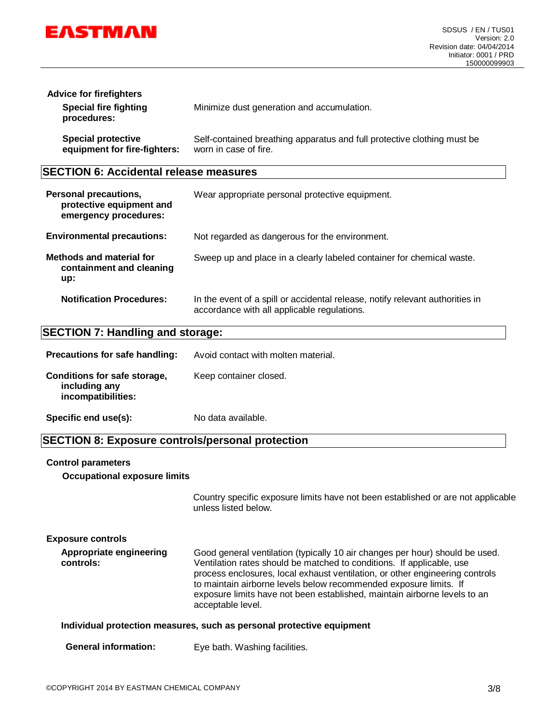

| <b>Advice for firefighters</b><br><b>Special fire fighting</b><br>procedures: | Minimize dust generation and accumulation.                              |  |
|-------------------------------------------------------------------------------|-------------------------------------------------------------------------|--|
| <b>Special protective</b>                                                     | Self-contained breathing apparatus and full protective clothing must be |  |
| equipment for fire-fighters:                                                  | worn in case of fire.                                                   |  |

### **SECTION 6: Accidental release measures**

| <b>Personal precautions,</b><br>protective equipment and<br>emergency procedures: | Wear appropriate personal protective equipment.                                                                              |
|-----------------------------------------------------------------------------------|------------------------------------------------------------------------------------------------------------------------------|
| <b>Environmental precautions:</b>                                                 | Not regarded as dangerous for the environment.                                                                               |
| Methods and material for<br>containment and cleaning<br>up:                       | Sweep up and place in a clearly labeled container for chemical waste.                                                        |
| <b>Notification Procedures:</b>                                                   | In the event of a spill or accidental release, notify relevant authorities in<br>accordance with all applicable regulations. |

### **SECTION 7: Handling and storage:**

| <b>Precautions for safe handling:</b>                               | Avoid contact with molten material. |
|---------------------------------------------------------------------|-------------------------------------|
| Conditions for safe storage,<br>including any<br>incompatibilities: | Keep container closed.              |
| Specific end use(s):                                                | No data available.                  |

### **SECTION 8: Exposure controls/personal protection**

#### **Control parameters**

**Occupational exposure limits**

Country specific exposure limits have not been established or are not applicable unless listed below.

| <b>Exposure controls</b>             |                                                                                                                                                                                                                                                                                                                                                                                                              |
|--------------------------------------|--------------------------------------------------------------------------------------------------------------------------------------------------------------------------------------------------------------------------------------------------------------------------------------------------------------------------------------------------------------------------------------------------------------|
| Appropriate engineering<br>controls: | Good general ventilation (typically 10 air changes per hour) should be used.<br>Ventilation rates should be matched to conditions. If applicable, use<br>process enclosures, local exhaust ventilation, or other engineering controls<br>to maintain airborne levels below recommended exposure limits. If<br>exposure limits have not been established, maintain airborne levels to an<br>acceptable level. |

#### **Individual protection measures, such as personal protective equipment**

| <b>General information:</b> | Eye bath. Washing facilities. |
|-----------------------------|-------------------------------|
|                             |                               |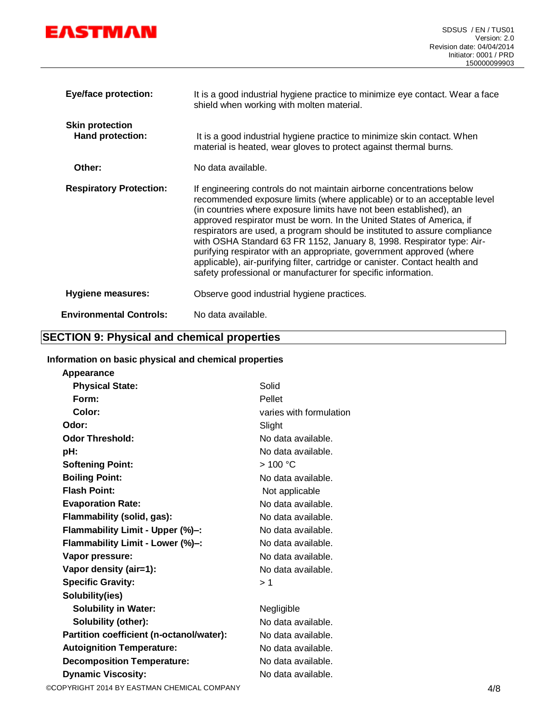

| <b>Eye/face protection:</b>                | It is a good industrial hygiene practice to minimize eye contact. Wear a face<br>shield when working with molten material.                                                                                                                                                                                                                                                                                                                                                                                                                                                                                                                                                      |
|--------------------------------------------|---------------------------------------------------------------------------------------------------------------------------------------------------------------------------------------------------------------------------------------------------------------------------------------------------------------------------------------------------------------------------------------------------------------------------------------------------------------------------------------------------------------------------------------------------------------------------------------------------------------------------------------------------------------------------------|
| <b>Skin protection</b><br>Hand protection: | It is a good industrial hygiene practice to minimize skin contact. When<br>material is heated, wear gloves to protect against thermal burns.                                                                                                                                                                                                                                                                                                                                                                                                                                                                                                                                    |
| Other:                                     | No data available.                                                                                                                                                                                                                                                                                                                                                                                                                                                                                                                                                                                                                                                              |
| <b>Respiratory Protection:</b>             | If engineering controls do not maintain airborne concentrations below<br>recommended exposure limits (where applicable) or to an acceptable level<br>(in countries where exposure limits have not been established), an<br>approved respirator must be worn. In the United States of America, if<br>respirators are used, a program should be instituted to assure compliance<br>with OSHA Standard 63 FR 1152, January 8, 1998. Respirator type: Air-<br>purifying respirator with an appropriate, government approved (where<br>applicable), air-purifying filter, cartridge or canister. Contact health and<br>safety professional or manufacturer for specific information. |
| <b>Hygiene measures:</b>                   | Observe good industrial hygiene practices.                                                                                                                                                                                                                                                                                                                                                                                                                                                                                                                                                                                                                                      |
| <b>Environmental Controls:</b>             | No data available.                                                                                                                                                                                                                                                                                                                                                                                                                                                                                                                                                                                                                                                              |

### **SECTION 9: Physical and chemical properties**

#### **Information on basic physical and chemical properties**

| Solid                   |     |
|-------------------------|-----|
| Pellet                  |     |
| varies with formulation |     |
| Slight                  |     |
| No data available.      |     |
| No data available.      |     |
| >100 °C                 |     |
| No data available.      |     |
| Not applicable          |     |
| No data available.      |     |
| No data available.      |     |
| No data available.      |     |
| No data available.      |     |
| No data available.      |     |
| No data available.      |     |
| >1                      |     |
|                         |     |
| Negligible              |     |
| No data available.      |     |
| No data available.      |     |
| No data available.      |     |
| No data available.      |     |
| No data available.      |     |
|                         | 4/8 |
|                         |     |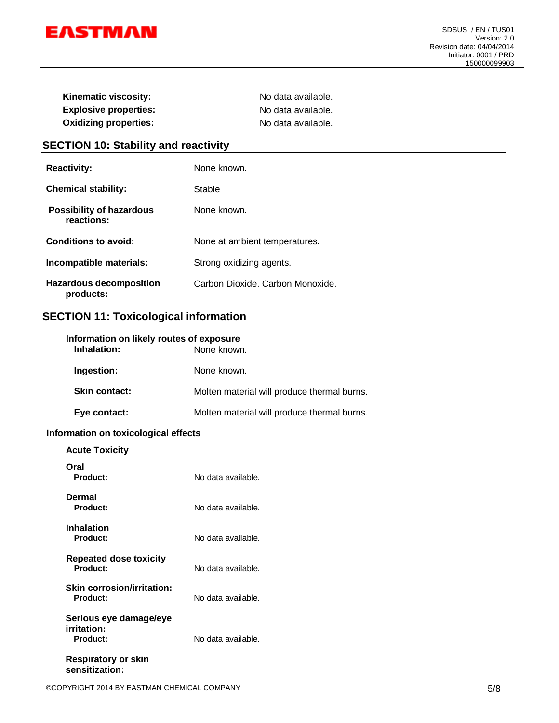

| Kinematic viscosity:         | No data available. |
|------------------------------|--------------------|
| <b>Explosive properties:</b> | No data available. |
| <b>Oxidizing properties:</b> | No data available. |

## **SECTION 10: Stability and reactivity**

| <b>Reactivity:</b>                            | None known.                      |
|-----------------------------------------------|----------------------------------|
| <b>Chemical stability:</b>                    | Stable                           |
| <b>Possibility of hazardous</b><br>reactions: | None known.                      |
| Conditions to avoid:                          | None at ambient temperatures.    |
| Incompatible materials:                       | Strong oxidizing agents.         |
| <b>Hazardous decomposition</b><br>products:   | Carbon Dioxide. Carbon Monoxide. |

### **SECTION 11: Toxicological information**

| Information on likely routes of exposure<br>Inhalation: | None known.                                 |
|---------------------------------------------------------|---------------------------------------------|
| Ingestion:                                              | None known.                                 |
| <b>Skin contact:</b>                                    | Molten material will produce thermal burns. |
| Eye contact:                                            | Molten material will produce thermal burns. |

#### **Information on toxicological effects**

| <b>Acute Toxicity</b>                                    |                    |
|----------------------------------------------------------|--------------------|
| Oral<br>Product:                                         | No data available. |
| Dermal<br>Product:                                       | No data available. |
| <b>Inhalation</b><br>Product:                            | No data available. |
| <b>Repeated dose toxicity</b><br>Product:                | No data available. |
| <b>Skin corrosion/irritation:</b><br>Product:            | No data available. |
| Serious eye damage/eye<br>irritation:<br><b>Product:</b> | No data available. |
| Respiratory or skin<br>sensitization:                    |                    |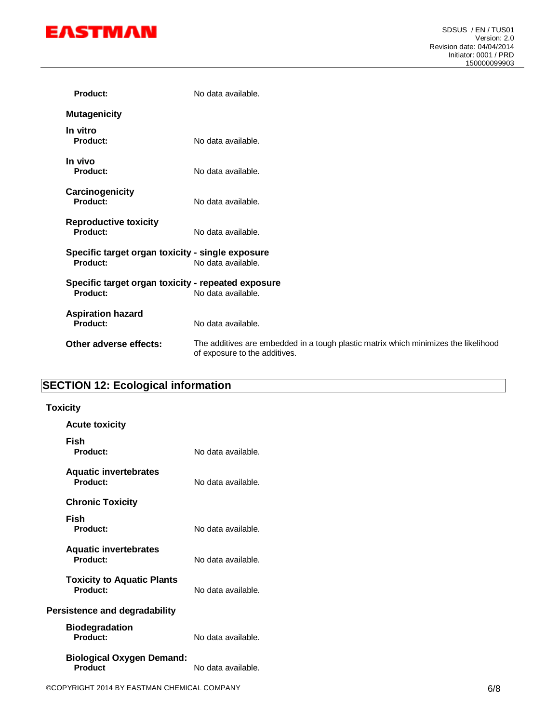

| <b>Product:</b>                                                | No data available.                                                                                                   |
|----------------------------------------------------------------|----------------------------------------------------------------------------------------------------------------------|
| <b>Mutagenicity</b>                                            |                                                                                                                      |
| In vitro<br>Product:                                           | No data available.                                                                                                   |
| In vivo<br><b>Product:</b>                                     | No data available.                                                                                                   |
| Carcinogenicity<br>Product:                                    | No data available.                                                                                                   |
| <b>Reproductive toxicity</b><br>Product:                       | No data available.                                                                                                   |
| Specific target organ toxicity - single exposure<br>Product:   | No data available.                                                                                                   |
| Specific target organ toxicity - repeated exposure<br>Product: | No data available.                                                                                                   |
| <b>Aspiration hazard</b><br><b>Product:</b>                    | No data available.                                                                                                   |
| Other adverse effects:                                         | The additives are embedded in a tough plastic matrix which minimizes the likelihood<br>of exposure to the additives. |
|                                                                |                                                                                                                      |

## **SECTION 12: Ecological information**

#### **Toxicity**

| <b>Acute toxicity</b>                         |                    |
|-----------------------------------------------|--------------------|
| Fish<br>Product:                              | No data available. |
| <b>Aquatic invertebrates</b><br>Product:      | No data available. |
| <b>Chronic Toxicity</b>                       |                    |
| Fish<br>Product:                              | No data available. |
| <b>Aquatic invertebrates</b><br>Product:      | No data available. |
| <b>Toxicity to Aquatic Plants</b><br>Product: | No data available. |
| <b>Persistence and degradability</b>          |                    |
| <b>Biodegradation</b><br>Product:             | No data available. |
| <b>Biological Oxygen Demand:</b><br>Product   | No data available. |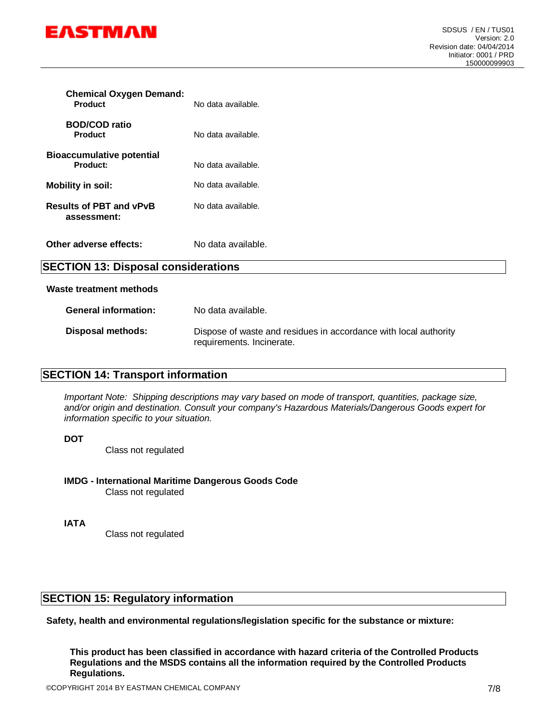

| <b>Chemical Oxygen Demand:</b><br><b>Product</b> | No data available. |
|--------------------------------------------------|--------------------|
| <b>BOD/COD ratio</b><br><b>Product</b>           | No data available. |
| <b>Bioaccumulative potential</b><br>Product:     | No data available. |
| Mobility in soil:                                | No data available. |
| <b>Results of PBT and vPvB</b><br>assessment:    | No data available. |
| Other adverse effects:                           | No data available. |

### **SECTION 13: Disposal considerations**

#### **Waste treatment methods**

| <b>General information:</b> | No data available.                                                                            |
|-----------------------------|-----------------------------------------------------------------------------------------------|
| Disposal methods:           | Dispose of waste and residues in accordance with local authority<br>requirements. Incinerate. |

### **SECTION 14: Transport information**

*Important Note: Shipping descriptions may vary based on mode of transport, quantities, package size, and/or origin and destination. Consult your company's Hazardous Materials/Dangerous Goods expert for information specific to your situation.*

**DOT**

Class not regulated

#### **IMDG - International Maritime Dangerous Goods Code**

Class not regulated

**IATA**

Class not regulated

### **SECTION 15: Regulatory information**

**Safety, health and environmental regulations/legislation specific for the substance or mixture:**

**This product has been classified in accordance with hazard criteria of the Controlled Products Regulations and the MSDS contains all the information required by the Controlled Products Regulations.**